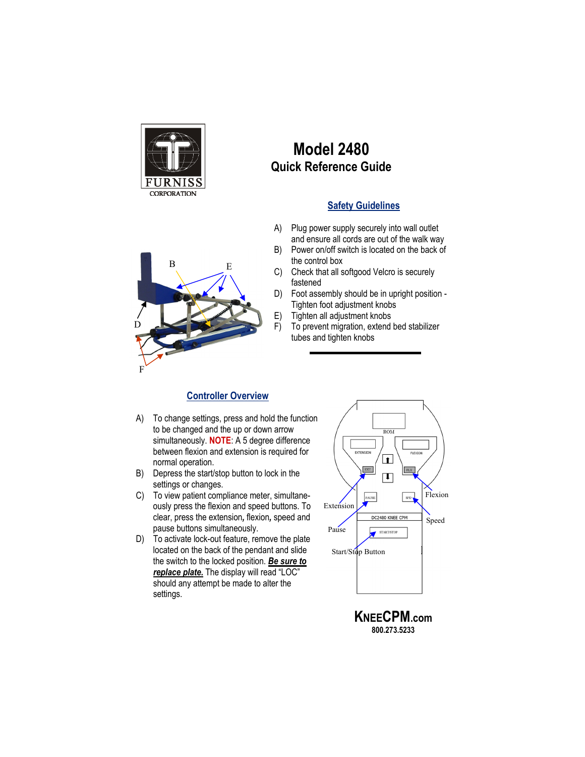

## **Model 2480 Quick Reference Guide**

## **Safety Guidelines**

- A) Plug power supply securely into wall outlet and ensure all cords are out of the walk way
- B) Power on/off switch is located on the back of the control box
- C) Check that all softgood Velcro is securely fastened
- D) Foot assembly should be in upright position Tighten foot adjustment knobs
- E) Tighten all adjustment knobs
- F) To prevent migration, extend bed stabilizer tubes and tighten knobs

## **Controller Overview**

- A) To change settings, press and hold the function to be changed and the up or down arrow simultaneously. **NOTE**: A 5 degree difference between flexion and extension is required for normal operation.
- B) Depress the start/stop button to lock in the settings or changes.
- C) To view patient compliance meter, simultaneously press the flexion and speed buttons. To clear, press the extension*,* flexion*,* speed and pause buttons simultaneously.
- D) To activate lock-out feature, remove the plate located on the back of the pendant and slide the switch to the locked position. *Be sure to*  replace plate. The display will read "LOC" should any attempt be made to alter the settings.



**800.273.5233**